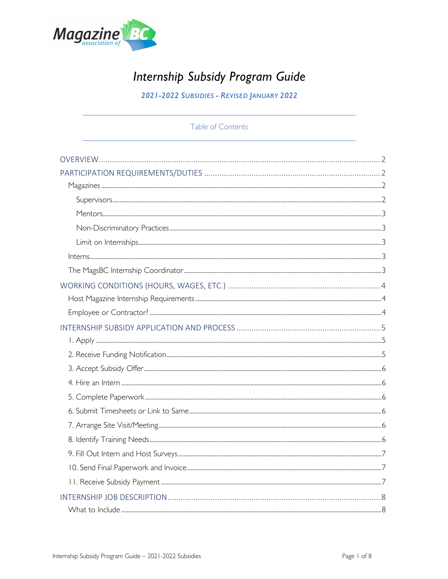

# Internship Subsidy Program Guide

2021-2022 SUBSIDIES - REVISED JANUARY 2022

Table of Contents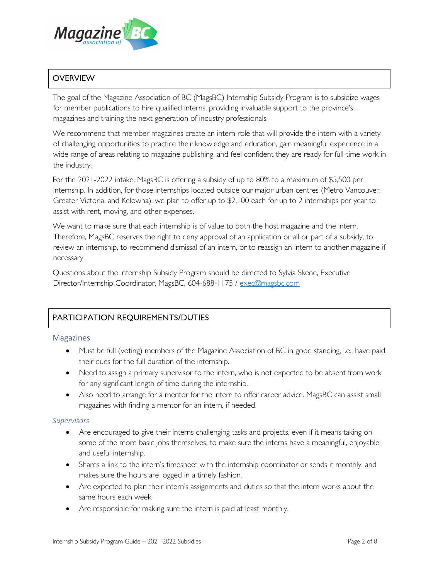

# **OVERVIEW**

The goal of the Magazine Association of BC (MagsBC) Internship Subsidy Program is to subsidize wages for member publications to hire qualified interns, providing invaluable support to the province's magazines and training the next generation of industry professionals.

We recommend that member magazines create an intern role that will provide the intern with a variety of challenging opportunities to practice their knowledge and education, gain meaningful experience in a wide range of areas relating to magazine publishing, and feel confident they are ready for full-time work in the industry.

For the 2021-2022 intake, MagsBC is offering a subsidy of up to 80% to a maximum of \$5,500 per internship. In addition, for those internships located outside our major urban centres (Metro Vancouver, Greater Victoria, and Kelowna), we plan to offer up to \$2,100 each for up to 2 internships per year to assist with rent, moving, and other expenses.

We want to make sure that each internship is of value to both the host magazine and the intern. Therefore, MagsBC reserves the right to deny approval of an application or all or part of a subsidy, to review an internship, to recommend dismissal of an intern, or to reassign an intern to another magazine if necessary.

Questions about the Internship Subsidy Program should be directed to Sylvia Skene, Executive Director/Internship Coordinator, MagsBC, 604-688-1175 / exec@magsbc.com

# PARTICIPATION REQUIREMENTS/DUTIES

#### Magazines

- Must be full (voting) members of the Magazine Association of BC in good standing, i.e., have paid their dues for the full duration of the internship.
- Need to assign a primary supervisor to the intern, who is not expected to be absent from work for any significant length of time during the internship.
- Also need to arrange for a mentor for the intern to offer career advice. MagsBC can assist small magazines with finding a mentor for an intern, if needed.

#### *Supervisors*

- Are encouraged to give their interns challenging tasks and projects, even if it means taking on some of the more basic jobs themselves, to make sure the interns have a meaningful, enjoyable and useful internship.
- Shares a link to the intern's timesheet with the internship coordinator or sends it monthly, and makes sure the hours are logged in a timely fashion.
- Are expected to plan their intern's assignments and duties so that the intern works about the same hours each week.
- Are responsible for making sure the intern is paid at least monthly.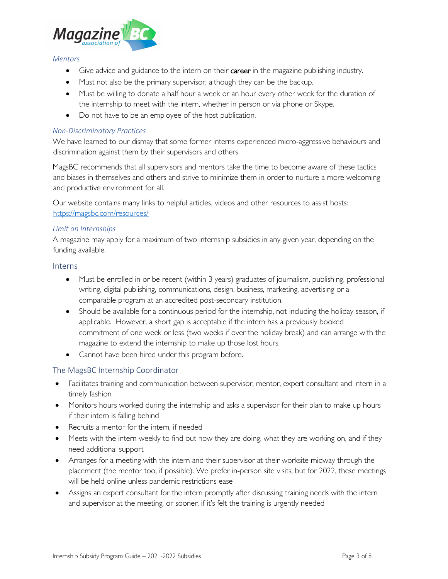

#### *Mentors*

- Give advice and guidance to the intern on their **career** in the magazine publishing industry.
- Must not also be the primary supervisor, although they can be the backup.
- Must be willing to donate a half hour a week or an hour every other week for the duration of the internship to meet with the intern, whether in person or via phone or Skype.
- Do not have to be an employee of the host publication.

#### *Non-Discriminatory Practices*

We have learned to our dismay that some former interns experienced micro-aggressive behaviours and discrimination against them by their supervisors and others.

MagsBC recommends that all supervisors and mentors take the time to become aware of these tactics and biases in themselves and others and strive to minimize them in order to nurture a more welcoming and productive environment for all.

Our website contains many links to helpful articles, videos and other resources to assist hosts: https://magsbc.com/resources/

#### *Limit on Internships*

A magazine may apply for a maximum of two internship subsidies in any given year, depending on the funding available.

#### Interns

- Must be enrolled in or be recent (within 3 years) graduates of journalism, publishing, professional writing, digital publishing, communications, design, business, marketing, advertising or a comparable program at an accredited post-secondary institution.
- Should be available for a continuous period for the internship, not including the holiday season, if applicable. However, a short gap is acceptable if the intern has a previously booked commitment of one week or less (two weeks if over the holiday break) and can arrange with the magazine to extend the internship to make up those lost hours.
- Cannot have been hired under this program before.

# The MagsBC Internship Coordinator

- Facilitates training and communication between supervisor, mentor, expert consultant and intern in a timely fashion
- Monitors hours worked during the internship and asks a supervisor for their plan to make up hours if their intern is falling behind
- Recruits a mentor for the intern, if needed
- Meets with the intern weekly to find out how they are doing, what they are working on, and if they need additional support
- Arranges for a meeting with the intern and their supervisor at their worksite midway through the placement (the mentor too, if possible). We prefer in-person site visits, but for 2022, these meetings will be held online unless pandemic restrictions ease
- Assigns an expert consultant for the intern promptly after discussing training needs with the intern and supervisor at the meeting, or sooner, if it's felt the training is urgently needed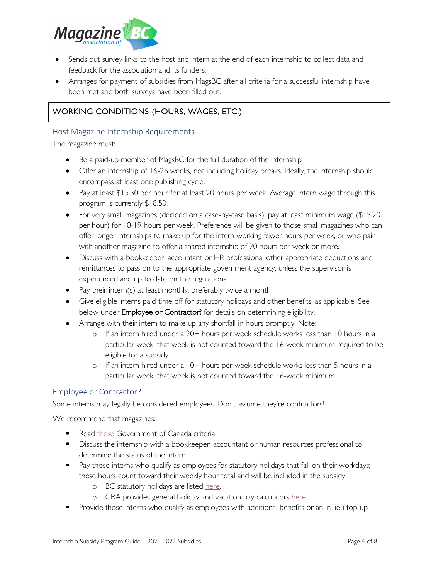

- Sends out survey links to the host and intern at the end of each internship to collect data and feedback for the association and its funders.
- Arranges for payment of subsidies from MagsBC after all criteria for a successful internship have been met and both surveys have been filled out.

# WORKING CONDITIONS (HOURS, WAGES, ETC.)

#### Host Magazine Internship Requirements

The magazine must:

- Be a paid-up member of MagsBC for the full duration of the internship
- Offer an internship of 16-26 weeks, not including holiday breaks. Ideally, the internship should encompass at least one publishing cycle.
- Pay at least \$15.50 per hour for at least 20 hours per week. Average intern wage through this program is currently \$18.50.
- For very small magazines (decided on a case-by-case basis), pay at least minimum wage (\$15.20 per hour) for 10-19 hours per week. Preference will be given to those small magazines who can offer longer internships to make up for the intern working fewer hours per week, or who pair with another magazine to offer a shared internship of 20 hours per week or more.
- Discuss with a bookkeeper, accountant or HR professional other appropriate deductions and remittances to pass on to the appropriate government agency, unless the supervisor is experienced and up to date on the regulations.
- Pay their intern(s) at least monthly, preferably twice a month
- Give eligible interns paid time off for statutory holidays and other benefits, as applicable. See below under Employee or Contractor? for details on determining eligibility.
- Arrange with their intern to make up any shortfall in hours promptly. Note:
	- o If an intern hired under a 20+ hours per week schedule works less than 10 hours in a particular week, that week is not counted toward the 16-week minimum required to be eligible for a subsidy
	- o If an intern hired under a 10+ hours per week schedule works less than 5 hours in a particular week, that week is not counted toward the 16-week minimum

#### Employee or Contractor?

Some interns may legally be considered employees. Don't assume they're contractors!

We recommend that magazines:

- Read these Government of Canada criteria
- **•** Discuss the internship with a bookkeeper, accountant or human resources professional to determine the status of the intern
- Pay those interns who qualify as employees for statutory holidays that fall on their workdays; these hours count toward their weekly hour total and will be included in the subsidy.
	- o BC statutory holidays are listed here.
	- o CRA provides general holiday and vacation pay calculators here.
- **•** Provide those interns who qualify as employees with additional benefits or an in-lieu top-up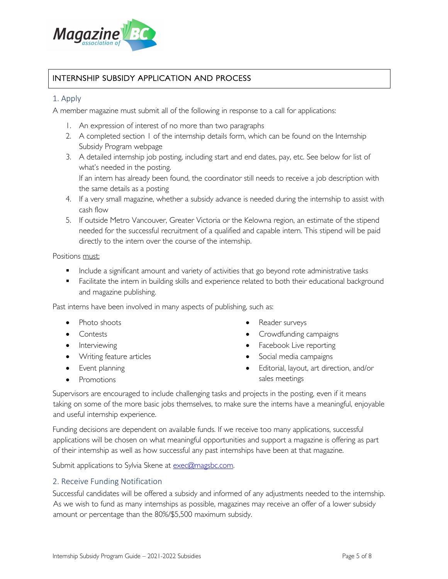

# INTERNSHIP SUBSIDY APPLICATION AND PROCESS

## 1. Apply

A member magazine must submit all of the following in response to a call for applications:

- 1. An expression of interest of no more than two paragraphs
- 2. A completed section 1 of the internship details form, which can be found on the Internship Subsidy Program webpage
- 3. A detailed internship job posting, including start and end dates, pay, etc. See below for list of what's needed in the posting. If an intern has already been found, the coordinator still needs to receive a job description with
- the same details as a posting 4. If a very small magazine, whether a subsidy advance is needed during the internship to assist with cash flow
- 5. If outside Metro Vancouver, Greater Victoria or the Kelowna region, an estimate of the stipend needed for the successful recruitment of a qualified and capable intern. This stipend will be paid directly to the intern over the course of the internship.

Positions must:

- Include a significant amount and variety of activities that go beyond rote administrative tasks
- **•** Facilitate the intern in building skills and experience related to both their educational background and magazine publishing.

Past interns have been involved in many aspects of publishing, such as:

- Photo shoots
- Contests
- Interviewing
- Writing feature articles
- Event planning
- Promotions
- Reader surveys
- Crowdfunding campaigns
- Facebook Live reporting
- Social media campaigns
- Editorial, layout, art direction, and/or sales meetings

Supervisors are encouraged to include challenging tasks and projects in the posting, even if it means taking on some of the more basic jobs themselves, to make sure the interns have a meaningful, enjoyable and useful internship experience.

Funding decisions are dependent on available funds. If we receive too many applications, successful applications will be chosen on what meaningful opportunities and support a magazine is offering as part of their internship as well as how successful any past internships have been at that magazine.

Submit applications to Sylvia Skene at exec@magsbc.com.

#### 2. Receive Funding Notification

Successful candidates will be offered a subsidy and informed of any adjustments needed to the internship. As we wish to fund as many internships as possible, magazines may receive an offer of a lower subsidy amount or percentage than the 80%/\$5,500 maximum subsidy.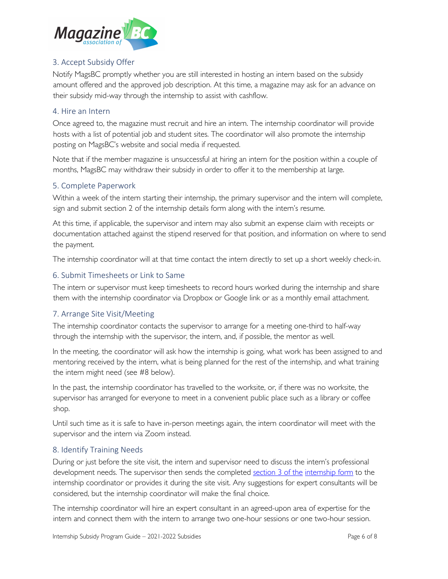

# 3. Accept Subsidy Offer

Notify MagsBC promptly whether you are still interested in hosting an intern based on the subsidy amount offered and the approved job description. At this time, a magazine may ask for an advance on their subsidy mid-way through the internship to assist with cashflow.

## 4. Hire an Intern

Once agreed to, the magazine must recruit and hire an intern. The internship coordinator will provide hosts with a list of potential job and student sites. The coordinator will also promote the internship posting on MagsBC's website and social media if requested.

Note that if the member magazine is unsuccessful at hiring an intern for the position within a couple of months, MagsBC may withdraw their subsidy in order to offer it to the membership at large.

## 5. Complete Paperwork

Within a week of the intern starting their internship, the primary supervisor and the intern will complete, sign and submit section 2 of the internship details form along with the intern's resume.

At this time, if applicable, the supervisor and intern may also submit an expense claim with receipts or documentation attached against the stipend reserved for that position, and information on where to send the payment.

The internship coordinator will at that time contact the intern directly to set up a short weekly check-in.

# 6. Submit Timesheets or Link to Same

The intern or supervisor must keep timesheets to record hours worked during the internship and share them with the internship coordinator via Dropbox or Google link or as a monthly email attachment.

# 7. Arrange Site Visit/Meeting

The internship coordinator contacts the supervisor to arrange for a meeting one-third to half-way through the internship with the supervisor, the intern, and, if possible, the mentor as well.

In the meeting, the coordinator will ask how the internship is going, what work has been assigned to and mentoring received by the intern, what is being planned for the rest of the internship, and what training the intern might need (see #8 below).

In the past, the internship coordinator has travelled to the worksite, or, if there was no worksite, the supervisor has arranged for everyone to meet in a convenient public place such as a library or coffee shop.

Until such time as it is safe to have in-person meetings again, the intern coordinator will meet with the supervisor and the intern via Zoom instead.

# 8. Identify Training Needs

During or just before the site visit, the intern and supervisor need to discuss the intern's professional development needs. The supervisor then sends the completed section 3 of the internship form to the internship coordinator or provides it during the site visit. Any suggestions for expert consultants will be considered, but the internship coordinator will make the final choice.

The internship coordinator will hire an expert consultant in an agreed-upon area of expertise for the intern and connect them with the intern to arrange two one-hour sessions or one two-hour session.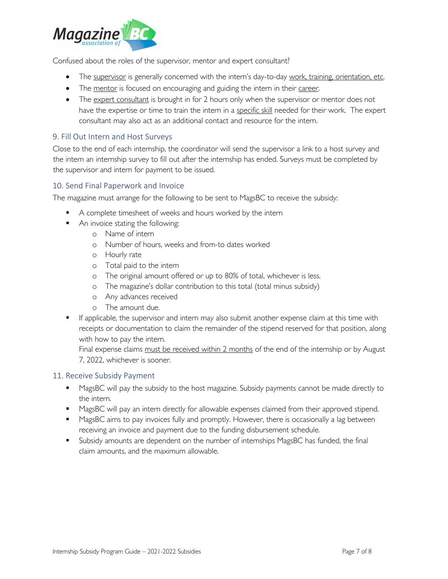

Confused about the roles of the supervisor, mentor and expert consultant?

- The supervisor is generally concerned with the intern's day-to-day work, training, orientation, etc.
- The mentor is focused on encouraging and guiding the intern in their career.
- The expert consultant is brought in for 2 hours only when the supervisor or mentor does not have the expertise or time to train the intern in a specific skill needed for their work. The expert consultant may also act as an additional contact and resource for the intern.

# 9. Fill Out Intern and Host Surveys

Close to the end of each internship, the coordinator will send the supervisor a link to a host survey and the intern an internship survey to fill out after the internship has ended. Surveys must be completed by the supervisor and intern for payment to be issued.

# 10. Send Final Paperwork and Invoice

The magazine must arrange for the following to be sent to MagsBC to receive the subsidy:

- A complete timesheet of weeks and hours worked by the intern
- An invoice stating the following:
	- o Name of intern
	- o Number of hours, weeks and from-to dates worked
	- o Hourly rate
	- o Total paid to the intern
	- o The original amount offered or up to 80% of total, whichever is less.
	- o The magazine's dollar contribution to this total (total minus subsidy)
	- o Any advances received
	- o The amount due.
- **•** If applicable, the supervisor and intern may also submit another expense claim at this time with receipts or documentation to claim the remainder of the stipend reserved for that position, along with how to pay the intern.

Final expense claims must be received within 2 months of the end of the internship or by August 7, 2022, whichever is sooner.

# 11. Receive Subsidy Payment

- MagsBC will pay the subsidy to the host magazine. Subsidy payments cannot be made directly to the intern.
- MagsBC will pay an intern directly for allowable expenses claimed from their approved stipend.
- MagsBC aims to pay invoices fully and promptly. However, there is occasionally a lag between receiving an invoice and payment due to the funding disbursement schedule.
- § Subsidy amounts are dependent on the number of internships MagsBC has funded, the final claim amounts, and the maximum allowable.